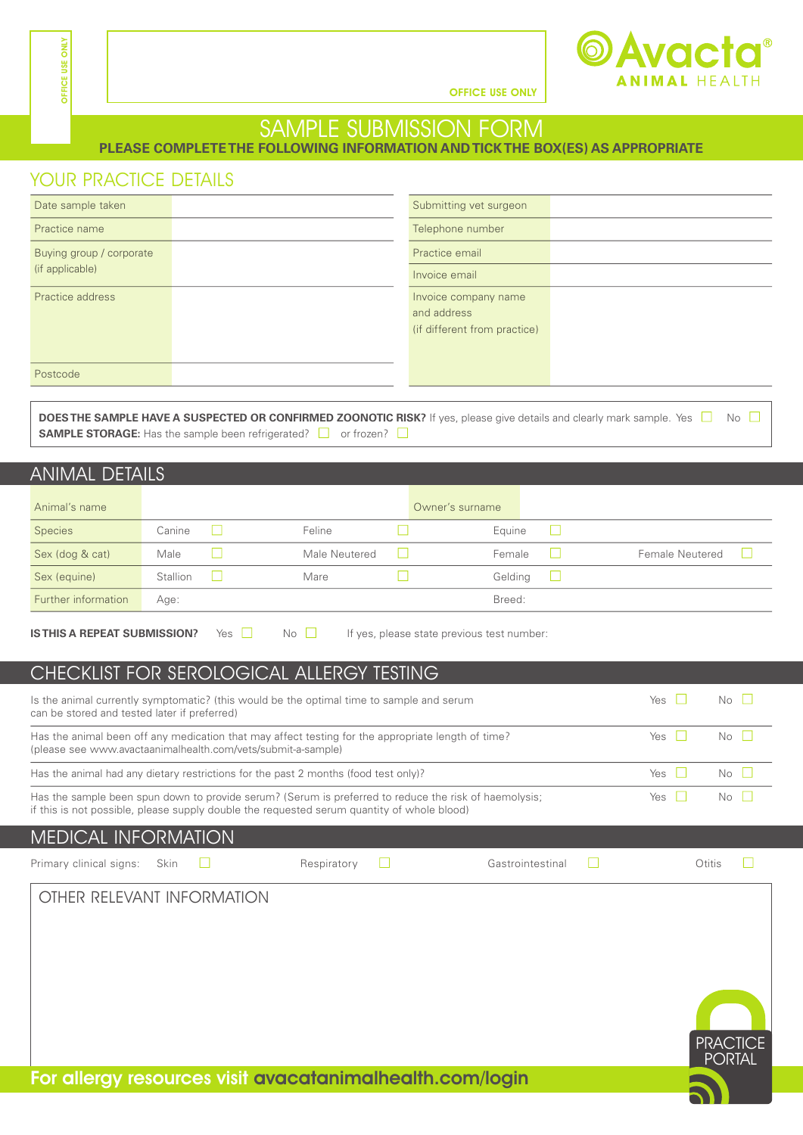

OFFICE USE ONLY

## SAMPLE SUBMISSION FORM

**PLEASE COMPLETE THE FOLLOWING INFORMATION AND TICK THE BOX(ES) AS APPROPRIATE**

#### YOUR PRACTICE DETAILS

| Date sample taken        | Submitting vet surgeon       |
|--------------------------|------------------------------|
| Practice name            | Telephone number             |
| Buying group / corporate | Practice email               |
| (if applicable)          | Invoice email                |
| Practice address         | Invoice company name         |
|                          | and address                  |
|                          | (if different from practice) |
|                          |                              |
| Postcode                 |                              |
|                          |                              |

**DOES THE SAMPLE HAVE A SUSPECTED OR CONFIRMED ZOONOTIC RISK?** If yes, please give details and clearly mark sample. Yes  $\Box$  No  $\Box$ **SAMPLE STORAGE:** Has the sample been refrigerated?  $\Box$  or frozen?  $\Box$ 

#### ANIMAL DETAILS

| Animal's name       |          |               | Owner's surname |  |                 |  |
|---------------------|----------|---------------|-----------------|--|-----------------|--|
| <b>Species</b>      | Canine   | Feline        | Equine          |  |                 |  |
| Sex (dog & cat)     | Male     | Male Neutered | Female          |  | Female Neutered |  |
| Sex (equine)        | Stallion | Mare          | Gelding         |  |                 |  |
| Further information | Age:     |               | Breed:          |  |                 |  |

**IS THIS A REPEAT SUBMISSION?** Yes **No No** If yes, please state previous test number:

#### CHECKLIST FOR SEROLOGICAL ALLERGY TESTING

| Is the animal currently symptomatic? (this would be the optimal time to sample and serum<br>can be stored and tested later if preferred)                                                            | Yes      | No II |
|-----------------------------------------------------------------------------------------------------------------------------------------------------------------------------------------------------|----------|-------|
| Has the animal been off any medication that may affect testing for the appropriate length of time?<br>(please see www.avactaanimalhealth.com/vets/submit-a-sample)                                  | Yes $  $ | No II |
| Has the animal had any dietary restrictions for the past 2 months (food test only)?                                                                                                                 | Yes $  $ | $N0$  |
| Has the sample been spun down to provide serum? (Serum is preferred to reduce the risk of haemolysis;<br>if this is not possible, please supply double the requested serum quantity of whole blood) | Yes $  $ | No L  |
| LAEDICAL INIEQDLAATIONI                                                                                                                                                                             |          |       |

#### MEDICAL INFORMATION

Primary clinical signs: Skin  $\Box$  Respiratory  $\Box$  Gastrointestinal  $\Box$  Otitis  $\Box$ 

**PRACTICE PORTAL** 



OTHER RELEVANT INFORMATION